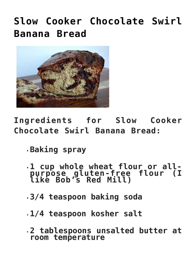## **[Slow Cooker Chocolate Swirl](https://alethiatruefit.com/recipes/apps-snacks/slow-cooker-chocolate-swirl-banana-bread-2/) [Banana Bread](https://alethiatruefit.com/recipes/apps-snacks/slow-cooker-chocolate-swirl-banana-bread-2/)**



**Ingredients for Slow Cooker Chocolate Swirl Banana Bread:**

- **Baking spray**
- **1 cup whole wheat flour or allpurpose gluten-free flour (I like Bob's Red Mill)**
- **3/4 teaspoon baking soda**
- **1/4 teaspoon kosher salt**
- **2 tablespoons unsalted butter at room temperature**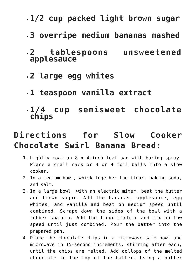- **1/2 cup packed light brown sugar**
- **3 overripe medium bananas mashed**
- **2 tablespoons unsweetened applesauce**
- **2 large egg whites**
- **1 teaspoon vanilla extract**
- **1/4 cup semisweet chocolate chips**

## **Directions for Slow Cooker Chocolate Swirl Banana Bread:**

- 1. Lightly coat an 8 x 4-inch loaf pan with baking spray. Place a small rack or 3 or 4 foil balls into a slow cooker.
- 2. In a medium bowl, whisk together the flour, baking soda, and salt.
- 3. In a large bowl, with an electric mixer, beat the butter and brown sugar. Add the bananas, applesauce, egg whites, and vanilla and beat on medium speed until combined. Scrape down the sides of the bowl with a rubber spatula. Add the flour mixture and mix on low speed until just combined. Pour the batter into the prepared pan.
- 4. Place the chocolate chips in a microwave-safe bowl and microwave in 15-second increments, stirring after each, until the chips are melted. Add dollops of the melted chocolate to the top of the batter. Using a butter